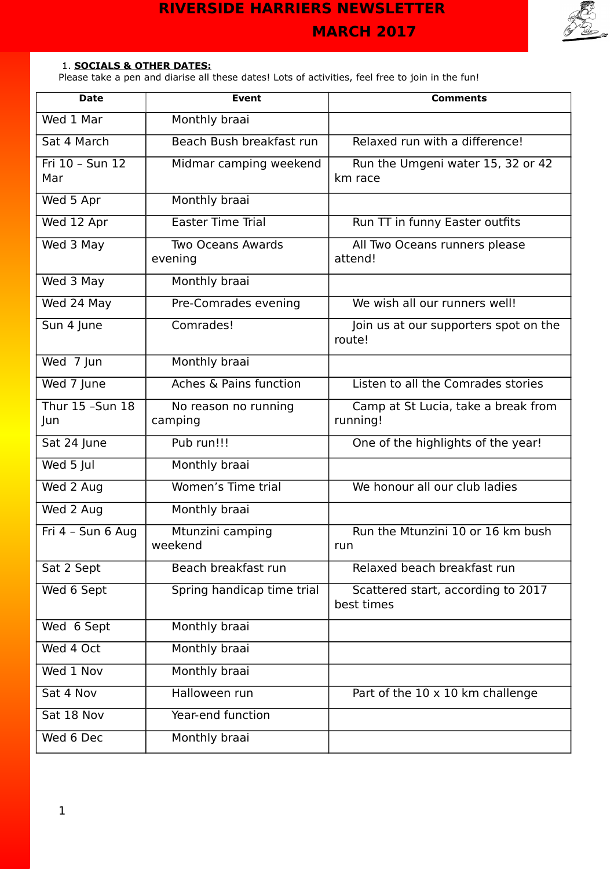

### 1. **SOCIALS & OTHER DATES:**

Please take a pen and diarise all these dates! Lots of activities, feel free to join in the fun!

| <b>Date</b>              | <b>Event</b>                        | <b>Comments</b>                                  |
|--------------------------|-------------------------------------|--------------------------------------------------|
| Wed 1 Mar                | Monthly braai                       |                                                  |
| Sat 4 March              | Beach Bush breakfast run            | Relaxed run with a difference!                   |
| Fri $10 - Sun$ 12<br>Mar | Midmar camping weekend              | Run the Umgeni water 15, 32 or 42<br>km race     |
| Wed 5 Apr                | Monthly braai                       |                                                  |
| Wed 12 Apr               | <b>Easter Time Trial</b>            | Run TT in funny Easter outfits                   |
| Wed 3 May                | <b>Two Oceans Awards</b><br>evening | All Two Oceans runners please<br>attend!         |
| Wed 3 May                | Monthly braai                       |                                                  |
| Wed 24 May               | Pre-Comrades evening                | We wish all our runners well!                    |
| Sun 4 June               | Comrades!                           | Join us at our supporters spot on the<br>route!  |
| Wed 7 Jun                | Monthly braai                       |                                                  |
| Wed 7 June               | Aches & Pains function              | Listen to all the Comrades stories               |
| Thur 15 - Sun 18<br>Jun  | No reason no running<br>camping     | Camp at St Lucia, take a break from<br>running!  |
| Sat 24 June              | Pub run!!!                          | One of the highlights of the year!               |
| Wed 5 Jul                | Monthly braai                       |                                                  |
| Wed 2 Aug                | Women's Time trial                  | We honour all our club ladies                    |
| Wed 2 Aug                | Monthly braai                       |                                                  |
| Fri 4 - Sun 6 Aug        | Mtunzini camping<br>weekend         | Run the Mtunzini 10 or 16 km bush<br>run         |
| Sat 2 Sept               | Beach breakfast run                 | Relaxed beach breakfast run                      |
| Wed 6 Sept               | Spring handicap time trial          | Scattered start, according to 2017<br>best times |
| Wed 6 Sept               | Monthly braai                       |                                                  |
| Wed 4 Oct                | Monthly braai                       |                                                  |
| Wed 1 Nov                | Monthly braai                       |                                                  |
| Sat 4 Nov                | Halloween run                       | Part of the 10 x 10 km challenge                 |
| Sat 18 Nov               | Year-end function                   |                                                  |
| Wed 6 Dec                | Monthly braai                       |                                                  |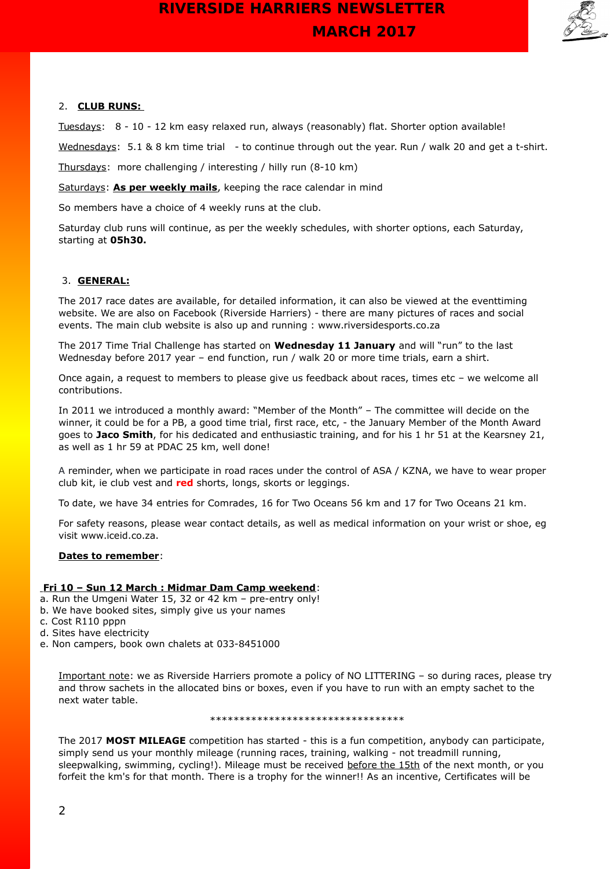

#### 2. **CLUB RUNS:**

Tuesdays: 8 - 10 - 12 km easy relaxed run, always (reasonably) flat. Shorter option available!

Wednesdays: 5.1 & 8 km time trial - to continue through out the year. Run / walk 20 and get a t-shirt.

Thursdays: more challenging / interesting / hilly run (8-10 km)

Saturdays: **As per weekly mails**, keeping the race calendar in mind

So members have a choice of 4 weekly runs at the club.

Saturday club runs will continue, as per the weekly schedules, with shorter options, each Saturday, starting at **05h30.**

#### 3. **GENERAL:**

The 2017 race dates are available, for detailed information, it can also be viewed at the eventtiming website. We are also on Facebook (Riverside Harriers) - there are many pictures of races and social events. The main club website is also up and running : www.riversidesports.co.za

The 2017 Time Trial Challenge has started on **Wednesday 11 January** and will "run" to the last Wednesday before 2017 year – end function, run / walk 20 or more time trials, earn a shirt.

Once again, a request to members to please give us feedback about races, times etc – we welcome all contributions.

In 2011 we introduced a monthly award: "Member of the Month" – The committee will decide on the winner, it could be for a PB, a good time trial, first race, etc, - the January Member of the Month Award goes to **Jaco Smith**, for his dedicated and enthusiastic training, and for his 1 hr 51 at the Kearsney 21, as well as 1 hr 59 at PDAC 25 km, well done!

A reminder, when we participate in road races under the control of ASA / KZNA, we have to wear proper club kit, ie club vest and **red** shorts, longs, skorts or leggings.

To date, we have 34 entries for Comrades, 16 for Two Oceans 56 km and 17 for Two Oceans 21 km.

For safety reasons, please wear contact details, as well as medical information on your wrist or shoe, eg visit www.iceid.co.za.

#### **Dates to remember**:

#### **Fri 10 – Sun 12 March : Midmar Dam Camp weekend**:

- a. Run the Umgeni Water 15, 32 or 42 km pre-entry only!
- b. We have booked sites, simply give us your names
- c. Cost R110 pppn
- d. Sites have electricity
- e. Non campers, book own chalets at 033-8451000

Important note: we as Riverside Harriers promote a policy of NO LITTERING – so during races, please try and throw sachets in the allocated bins or boxes, even if you have to run with an empty sachet to the next water table.

#### \*\*\*\*\*\*\*\*\*\*\*\*\*\*\*\*\*\*\*\*\*\*\*\*\*\*\*\*\*\*\*\*\*

The 2017 **MOST MILEAGE** competition has started - this is a fun competition, anybody can participate, simply send us your monthly mileage (running races, training, walking - not treadmill running, sleepwalking, swimming, cycling!). Mileage must be received before the 15th of the next month, or you forfeit the km's for that month. There is a trophy for the winner!! As an incentive, Certificates will be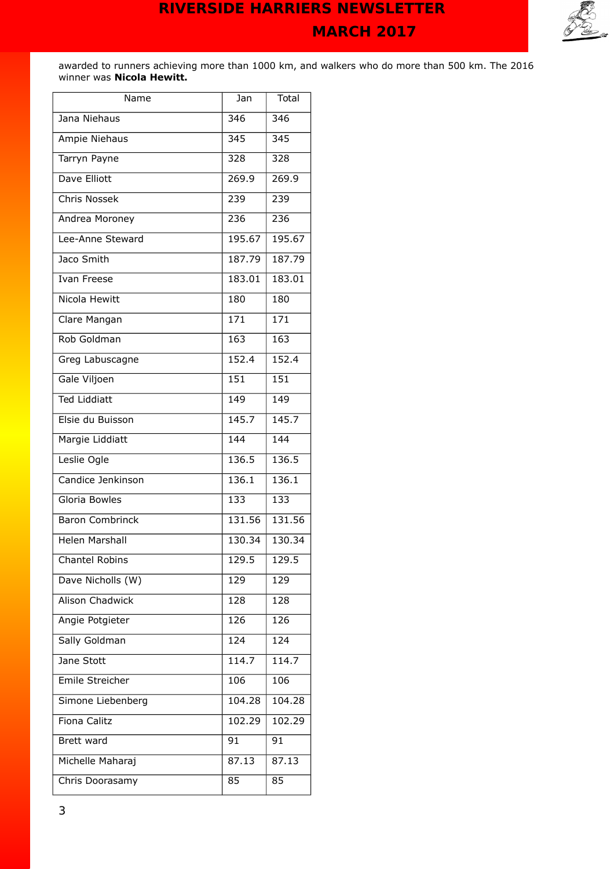

awarded to runners achieving more than 1000 km, and walkers who do more than 500 km. The 2016 winner was **Nicola Hewitt.**

| Name                   | Jan    | Total          |
|------------------------|--------|----------------|
| Jana Niehaus           | 346    | 346            |
| Ampie Niehaus          | 345    | 345            |
| Tarryn Payne           | 328    | 328            |
| Dave Elliott           | 269.9  | 269.9          |
| <b>Chris Nossek</b>    | 239    | 239            |
| Andrea Moroney         | 236    | 236            |
| Lee-Anne Steward       | 195.67 | 195.67         |
| Jaco Smith             | 187.79 | 187.79         |
| <b>Ivan Freese</b>     | 183.01 | 183.01         |
| Nicola Hewitt          | 180    | 180            |
| Clare Mangan           | 171    | 171            |
| Rob Goldman            | 163    | 163            |
| Greg Labuscagne        | 152.4  | 152.4          |
| Gale Viljoen           | 151    | 151            |
| <b>Ted Liddiatt</b>    | 149    | $\frac{1}{49}$ |
| Elsie du Buisson       | 145.7  | 145.7          |
| Margie Liddiatt        | 144    | 144            |
| Leslie Ogle            | 136.5  | 136.5          |
| Candice Jenkinson      | 136.1  | 136.1          |
| Gloria Bowles          | 133    | 133            |
| <b>Baron Combrinck</b> | 131.56 | 131.56         |
| <b>Helen Marshall</b>  | 130.34 | 130.34         |
| <b>Chantel Robins</b>  | 129.5  | 129.5          |
| Dave Nicholls (W)      | 129    | 129            |
| <b>Alison Chadwick</b> | 128    | 128            |
| Angie Potgieter        | 126    | 126            |
| Sally Goldman          | 124    | 124            |
| Jane Stott             | 114.7  | 114.7          |
| Emile Streicher        | 106    | 106            |
| Simone Liebenberg      | 104.28 | 104.28         |
| Fiona Calitz           | 102.29 | 102.29         |
| Brett ward             | 91     | 91             |
| Michelle Maharaj       | 87.13  | 87.13          |
| Chris Doorasamy        | 85     | 85             |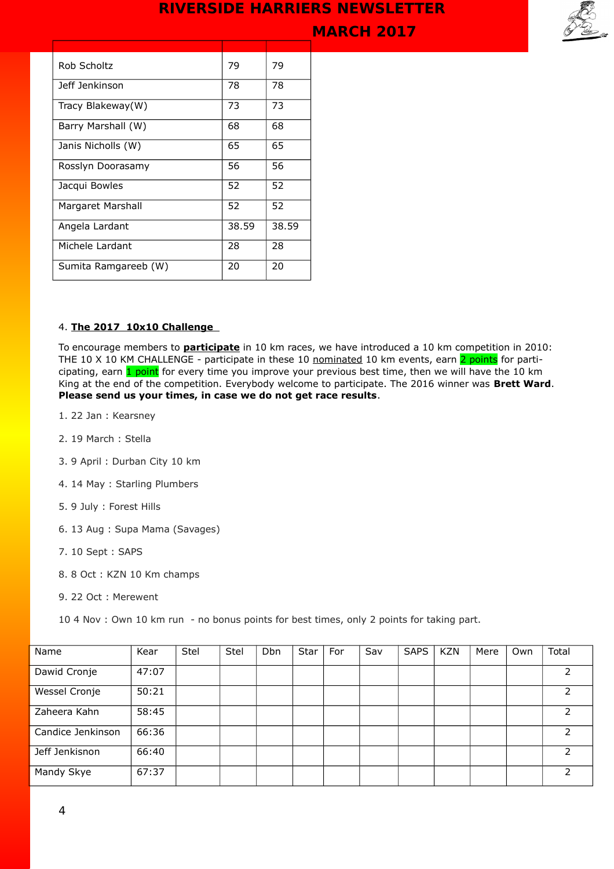**MARCH 2017** 



| Rob Scholtz          | 79    | 79    |
|----------------------|-------|-------|
| Jeff Jenkinson       | 78    | 78    |
| Tracy Blakeway(W)    | 73    | 73    |
| Barry Marshall (W)   | 68    | 68    |
| Janis Nicholls (W)   | 65    | 65    |
| Rosslyn Doorasamy    | 56    | 56    |
| Jacqui Bowles        | 52    | 52    |
| Margaret Marshall    | 52    | 52    |
| Angela Lardant       | 38.59 | 38.59 |
| Michele Lardant      | 28    | 28    |
| Sumita Ramgareeb (W) | 20    | 20    |

#### 4. **The 2017 10x10 Challenge**

To encourage members to **participate** in 10 km races, we have introduced a 10 km competition in 2010: THE 10 X 10 KM CHALLENGE - participate in these 10 nominated 10 km events, earn 2 points for participating, earn 1 point for every time you improve your previous best time, then we will have the 10 km King at the end of the competition. Everybody welcome to participate. The 2016 winner was **Brett Ward**. **Please send us your times, in case we do not get race results**.

- 1. 22 Jan : Kearsney
- 2. 19 March : Stella
- 3. 9 April : Durban City 10 km
- 4. 14 May : Starling Plumbers
- 5. 9 July : Forest Hills
- 6. 13 Aug : Supa Mama (Savages)
- 7. 10 Sept : SAPS
- 8. 8 Oct : KZN 10 Km champs
- 9. 22 Oct : Merewent

10 4 Nov : Own 10 km run - no bonus points for best times, only 2 points for taking part.

| Name              | Kear  | Stel | Stel | <b>Dbn</b> | <b>Star</b> | For | Sav | <b>SAPS</b> | <b>KZN</b> | Mere | Own | Total |
|-------------------|-------|------|------|------------|-------------|-----|-----|-------------|------------|------|-----|-------|
| Dawid Cronje      | 47:07 |      |      |            |             |     |     |             |            |      |     |       |
| Wessel Cronje     | 50:21 |      |      |            |             |     |     |             |            |      |     |       |
| Zaheera Kahn      | 58:45 |      |      |            |             |     |     |             |            |      |     |       |
| Candice Jenkinson | 66:36 |      |      |            |             |     |     |             |            |      |     |       |
| Jeff Jenkisnon    | 66:40 |      |      |            |             |     |     |             |            |      |     | 2     |
| Mandy Skye        | 67:37 |      |      |            |             |     |     |             |            |      |     |       |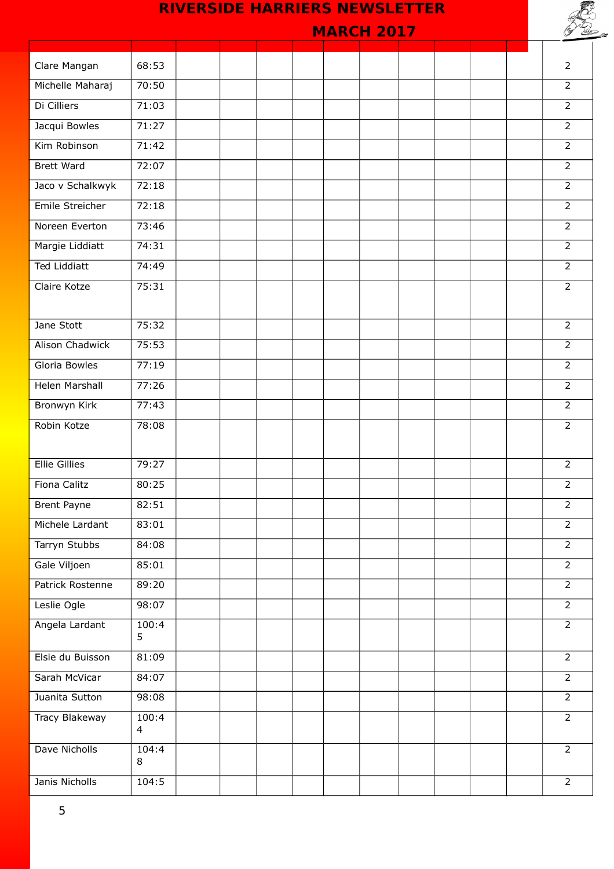# **MARCH 2017**  Clare Mangan 68:53 2 Michelle Maharaj 70:50 2 Di Cilliers 71:03 2 **Jacqui Bowles 71:27 22 22 22:27 22:27 22:27 23:27 23:27 23:27 23:27 23:27 23:27 24:27 24:27 24:27 24:27 24:27 24:27 24:27 24:27 24:27 24:27 24:27 24:27 24:27 24:27 24:27 24:27 24:27 24:27 24:27 24:27 24:27 24:27 24:27 24: Kim Robinson 21:42 2006** Brett Ward 72:07 2 Jaco v Schalkwyk 72:18 2 Emile Streicher 72:18 2 Noreen Everton 73:46 2 Margie Liddiatt 74:31 2 Ted Liddiatt 74:49 2 Claire Kotze (75:31 | | | | | | | | | | | | | 2 Jane Stott | 75:32 | | | | | | | | 2 Alison Chadwick 75:53 2 Gloria Bowles (27:19 2) 2 Helen Marshall 77:26 2 Bronwyn Kirk 77:43 2 Robin Kotze 78:08 2 Ellie Gillies 79:27 2 Fiona Calitz 80:25 2 Brent Payne 82:51 882:51 2 Michele Lardant 83:01 | | | | | | | | | | | 2 Tarryn Stubbs 84:08 84:08 2 Gale Viljoen 85:01 85:01 2 Patrick Rostenne 89:20 2 Leslie Ogle 98:07 2 Angela Lardant 100:4 5  $\overline{2}$ Elsie du Buisson 81:09 2 Sarah McVicar 84:07 2 **Juanita Sutton 98:08 2009** Tracy Blakeway 100:4 4  $\overline{2}$ Dave Nicholls 104:4 8  $\overline{2}$ Janis Nicholls 104:5 2 **RIVERSIDE HARRIERS NEWSLETTER**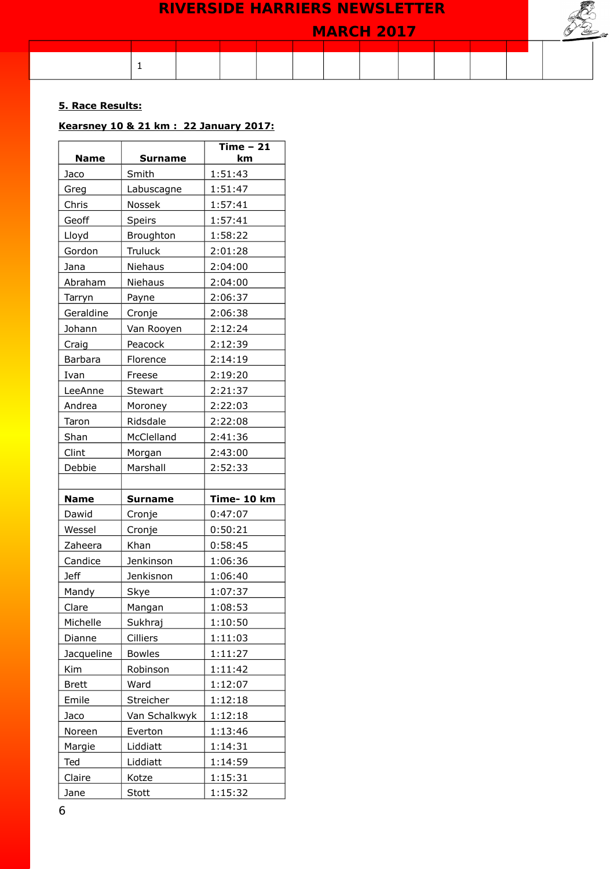

### **5. Race Results:**

## **Kearsney 10 & 21 km : 22 January 2017:**

| <b>Name</b>  | <b>Surname</b> | Time $-21$<br>km |  |
|--------------|----------------|------------------|--|
|              |                |                  |  |
| Jaco         | Smith          | 1:51:43          |  |
| Greg         | Labuscagne     | 1:51:47          |  |
| Chris        | Nossek         | 1:57:41          |  |
| Geoff        | Speirs         | 1:57:41          |  |
| Lloyd        | Broughton      | 1:58:22          |  |
| Gordon       | Truluck        | 2:01:28          |  |
| Jana         | Niehaus        | 2:04:00          |  |
| Abraham      | Niehaus        | 2:04:00          |  |
| Tarryn       | Payne          | 2:06:37          |  |
| Geraldine    | Cronje         | 2:06:38          |  |
| Johann       | Van Rooyen     | 2:12:24          |  |
| Craig        | Peacock        | 2:12:39          |  |
| Barbara      | Florence       | 2:14:19          |  |
| Ivan         | Freese         | 2:19:20          |  |
| LeeAnne      | <b>Stewart</b> | 2:21:37          |  |
| Andrea       | Moroney        | 2:22:03          |  |
| Taron        | Ridsdale       | 2:22:08          |  |
| Shan         | McClelland     | 2:41:36          |  |
| Clint        | Morgan         | 2:43:00          |  |
| Debbie       | Marshall       | 2:52:33          |  |
|              |                |                  |  |
| <b>Name</b>  | <b>Surname</b> | Time- 10 km      |  |
| Dawid        | Cronje         | 0:47:07          |  |
| Wessel       | Cronje         | 0:50:21          |  |
| Zaheera      | Khan           | 0:58:45          |  |
| Candice      | Jenkinson      | 1:06:36          |  |
| <b>Jeff</b>  | Jenkisnon      | 1:06:40          |  |
| Mandy        | Skye           | 1:07:37          |  |
| Clare        | Mangan         | 1:08:53          |  |
| Michelle     | Sukhraj        | 1:10:50          |  |
| Dianne       | Cilliers       | 1:11:03          |  |
| Jacqueline   | <b>Bowles</b>  | 1:11:27          |  |
| Kim          | Robinson       | 1:11:42          |  |
| <b>Brett</b> | Ward           | 1:12:07          |  |
| Emile        | Streicher      | 1:12:18          |  |
| Jaco         | Van Schalkwyk  | 1:12:18          |  |
| Noreen       | Everton        | 1:13:46          |  |
| Margie       | Liddiatt       | 1:14:31          |  |
| Ted          | Liddiatt       | 1:14:59          |  |
| Claire       | Kotze          | 1:15:31          |  |
| Jane         | Stott          | 1:15:32          |  |
|              |                |                  |  |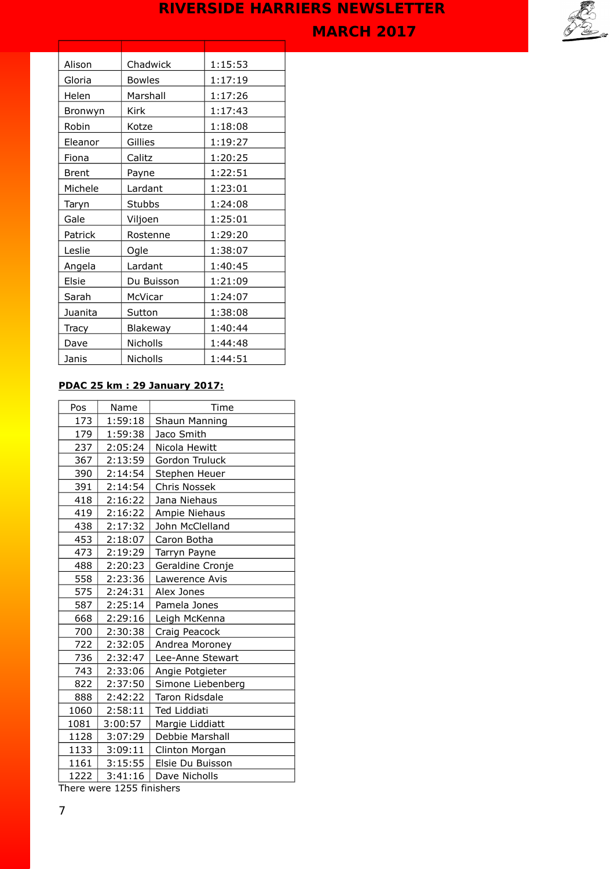



| Alison       | Chadwick      | 1:15:53 |
|--------------|---------------|---------|
| Gloria       | <b>Bowles</b> | 1:17:19 |
| Helen        | Marshall      | 1:17:26 |
| Bronwyn      | Kirk          | 1:17:43 |
| Robin        | Kotze         | 1:18:08 |
| Eleanor      | Gillies       | 1:19:27 |
| Fiona        | Calitz        | 1:20:25 |
| <b>Brent</b> | Payne         | 1:22:51 |
| Michele      | Lardant       | 1:23:01 |
| Taryn        | <b>Stubbs</b> | 1:24:08 |
| Gale         | Viljoen       | 1:25:01 |
| Patrick      | Rostenne      | 1:29:20 |
| Leslie       | Ogle          | 1:38:07 |
| Angela       | Lardant       | 1:40:45 |
| Elsie        | Du Buisson    | 1:21:09 |
| Sarah        | McVicar       | 1:24:07 |
| Juanita      | Sutton        | 1:38:08 |
| Tracy        | Blakeway      | 1:40:44 |
| Dave         | Nicholls      | 1:44:48 |
| Janis        | Nicholls      | 1:44:51 |

### **PDAC 25 km : 29 January 2017:**

| Pos  | Name    | Time              |
|------|---------|-------------------|
| 173  | 1:59:18 | Shaun Manning     |
| 179  | 1:59:38 | Jaco Smith        |
| 237  | 2:05:24 | Nicola Hewitt     |
| 367  | 2:13:59 | Gordon Truluck    |
| 390  | 2:14:54 | Stephen Heuer     |
| 391  | 2:14:54 | Chris Nossek      |
| 418  | 2:16:22 | Jana Niehaus      |
| 419  | 2:16:22 | Ampie Niehaus     |
| 438  | 2:17:32 | John McClelland   |
| 453  | 2:18:07 | Caron Botha       |
| 473  | 2:19:29 | Tarryn Payne      |
| 488  | 2:20:23 | Geraldine Cronje  |
| 558  | 2:23:36 | Lawerence Avis    |
| 575  | 2:24:31 | Alex Jones        |
| 587  | 2:25:14 | Pamela Jones      |
| 668  | 2:29:16 | Leigh McKenna     |
| 700  | 2:30:38 | Craig Peacock     |
| 722  | 2:32:05 | Andrea Moroney    |
| 736  | 2:32:47 | Lee-Anne Stewart  |
| 743  | 2:33:06 | Angie Potgieter   |
| 822  | 2:37:50 | Simone Liebenberg |
| 888  | 2:42:22 | Taron Ridsdale    |
| 1060 | 2:58:11 | Ted Liddiati      |
| 1081 | 3:00:57 | Margie Liddiatt   |
| 1128 | 3:07:29 | Debbie Marshall   |
| 1133 | 3:09:11 | Clinton Morgan    |
| 1161 | 3:15:55 | Elsie Du Buisson  |
| 1222 | 3:41:16 | Dave Nicholls     |
|      |         |                   |

There were 1255 finishers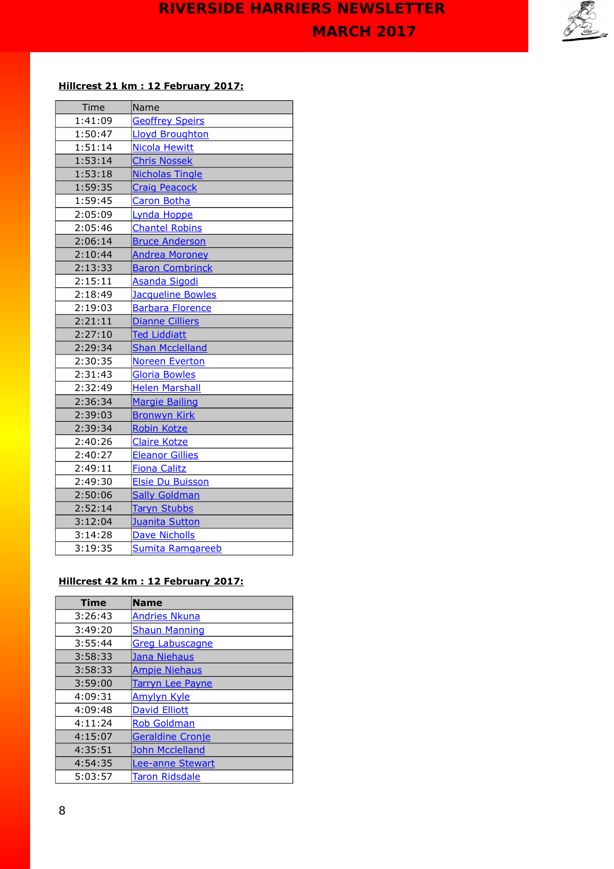

### **Hillcrest 21 km : 12 February 2017:**

| Time    | Name                     |
|---------|--------------------------|
| 1:41:09 | <b>Geoffrey Speirs</b>   |
| 1:50:47 | <b>Lloyd Broughton</b>   |
| 1:51:14 | <b>Nicola Hewitt</b>     |
| 1:53:14 | <b>Chris Nossek</b>      |
| 1:53:18 | <b>Nicholas Tingle</b>   |
| 1:59:35 | <b>Craig Peacock</b>     |
| 1:59:45 | <b>Caron Botha</b>       |
| 2:05:09 | Lynda Hoppe              |
| 2:05:46 | <b>Chantel Robins</b>    |
| 2:06:14 | <b>Bruce Anderson</b>    |
| 2:10:44 | <b>Andrea Moroney</b>    |
| 2:13:33 | <b>Baron Combrinck</b>   |
| 2:15:11 | Asanda Sigodi            |
| 2:18:49 | <b>Jacqueline Bowles</b> |
| 2:19:03 | <b>Barbara Florence</b>  |
| 2:21:11 | <b>Dianne Cilliers</b>   |
| 2:27:10 | <b>Ted Liddiatt</b>      |
| 2:29:34 | <b>Shan Mcclelland</b>   |
| 2:30:35 | Noreen Everton           |
| 2:31:43 | <b>Gloria Bowles</b>     |
| 2:32:49 | <b>Helen Marshall</b>    |
| 2:36:34 | <b>Margie Bailing</b>    |
| 2:39:03 | <b>Bronwyn Kirk</b>      |
| 2:39:34 | Robin Kotze              |
| 2:40:26 | <b>Claire Kotze</b>      |
| 2:40:27 | <b>Eleanor Gillies</b>   |
| 2:49:11 | <b>Fiona Calitz</b>      |
| 2:49:30 | <b>Elsie Du Buisson</b>  |
| 2:50:06 | <b>Sally Goldman</b>     |
| 2:52:14 | <b>Taryn Stubbs</b>      |
| 3:12:04 | Juanita Sutton           |
| 3:14:28 | <b>Dave Nicholls</b>     |
| 3:19:35 | Sumita Ramgareeb         |

## **Hillcrest 42 km : 12 February 2017:**

| <b>Time</b> | <b>Name</b>             |
|-------------|-------------------------|
| 3:26:43     | <b>Andries Nkuna</b>    |
| 3:49:20     | <b>Shaun Manning</b>    |
| 3:55:44     | <b>Greg Labuscagne</b>  |
| 3:58:33     | Jana Niehaus            |
| 3:58:33     | <b>Ampie Niehaus</b>    |
| 3:59:00     | <b>Tarryn Lee Payne</b> |
| 4:09:31     | <b>Amylyn Kyle</b>      |
| 4:09:48     | <b>David Elliott</b>    |
| 4:11:24     | <b>Rob Goldman</b>      |
| 4:15:07     | <b>Geraldine Cronje</b> |
| 4:35:51     | <b>John Mcclelland</b>  |
| 4:54:35     | Lee-anne Stewart        |
| 5:03:57     | Taron Ridsdale          |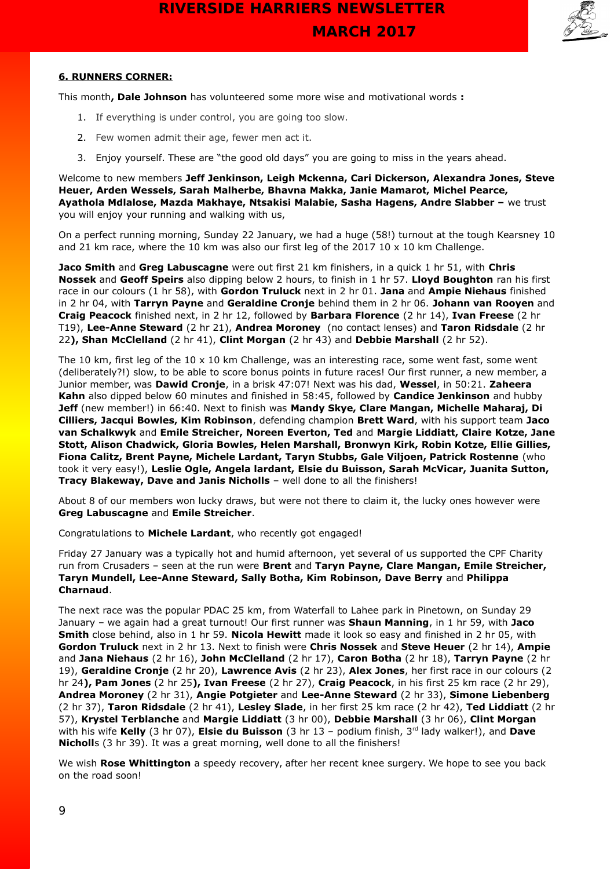

#### **6. RUNNERS CORNER:**

This month**, Dale Johnson** has volunteered some more wise and motivational words **:** 

- 1. If everything is under control, you are going too slow.
- 2. Few women admit their age, fewer men act it.
- 3. Enjoy yourself. These are "the good old days" you are going to miss in the years ahead.

Welcome to new members **Jeff Jenkinson, Leigh Mckenna, Cari Dickerson, Alexandra Jones, Steve Heuer, Arden Wessels, Sarah Malherbe, Bhavna Makka, Janie Mamarot, Michel Pearce, Ayathola Mdlalose, Mazda Makhaye, Ntsakisi Malabie, Sasha Hagens, Andre Slabber –** we trust you will enjoy your running and walking with us,

On a perfect running morning, Sunday 22 January, we had a huge (58!) turnout at the tough Kearsney 10 and 21 km race, where the 10 km was also our first leg of the 2017 10  $\times$  10 km Challenge.

**Jaco Smith** and **Greg Labuscagne** were out first 21 km finishers, in a quick 1 hr 51, with **Chris Nossek** and **Geoff Speirs** also dipping below 2 hours, to finish in 1 hr 57. **Lloyd Boughton** ran his first race in our colours (1 hr 58), with **Gordon Truluck** next in 2 hr 01. **Jana** and **Ampie Niehaus** finished in 2 hr 04, with **Tarryn Payne** and **Geraldine Cronje** behind them in 2 hr 06. **Johann van Rooyen** and **Craig Peacock** finished next, in 2 hr 12, followed by **Barbara Florence** (2 hr 14), **Ivan Freese** (2 hr T19), **Lee-Anne Steward** (2 hr 21), **Andrea Moroney** (no contact lenses) and **Taron Ridsdale** (2 hr 22**), Shan McClelland** (2 hr 41), **Clint Morgan** (2 hr 43) and **Debbie Marshall** (2 hr 52).

The 10 km, first leg of the  $10 \times 10$  km Challenge, was an interesting race, some went fast, some went (deliberately?!) slow, to be able to score bonus points in future races! Our first runner, a new member, a Junior member, was **Dawid Cronje**, in a brisk 47:07! Next was his dad, **Wessel**, in 50:21. **Zaheera Kahn** also dipped below 60 minutes and finished in 58:45, followed by **Candice Jenkinson** and hubby **Jeff** (new member!) in 66:40. Next to finish was **Mandy Skye, Clare Mangan, Michelle Maharaj, Di Cilliers, Jacqui Bowles, Kim Robinson**, defending champion **Brett Ward**, with his support team **Jaco van Schalkwyk** and **Emile Streicher, Noreen Everton, Ted** and **Margie Liddiatt, Claire Kotze, Jane Stott, Alison Chadwick, Gloria Bowles, Helen Marshall, Bronwyn Kirk, Robin Kotze, Ellie Gillies, Fiona Calitz, Brent Payne, Michele Lardant, Taryn Stubbs, Gale Viljoen, Patrick Rostenne** (who took it very easy!), **Leslie Ogle, Angela lardant, Elsie du Buisson, Sarah McVicar, Juanita Sutton, Tracy Blakeway, Dave and Janis Nicholls** – well done to all the finishers!

About 8 of our members won lucky draws, but were not there to claim it, the lucky ones however were **Greg Labuscagne** and **Emile Streicher**.

Congratulations to **Michele Lardant**, who recently got engaged!

Friday 27 January was a typically hot and humid afternoon, yet several of us supported the CPF Charity run from Crusaders – seen at the run were **Brent** and **Taryn Payne, Clare Mangan, Emile Streicher, Taryn Mundell, Lee-Anne Steward, Sally Botha, Kim Robinson, Dave Berry** and **Philippa Charnaud**.

The next race was the popular PDAC 25 km, from Waterfall to Lahee park in Pinetown, on Sunday 29 January – we again had a great turnout! Our first runner was **Shaun Manning**, in 1 hr 59, with **Jaco Smith** close behind, also in 1 hr 59. **Nicola Hewitt** made it look so easy and finished in 2 hr 05, with **Gordon Truluck** next in 2 hr 13. Next to finish were **Chris Nossek** and **Steve Heuer** (2 hr 14), **Ampie**  and **Jana Niehaus** (2 hr 16), **John McClelland** (2 hr 17), **Caron Botha** (2 hr 18), **Tarryn Payne** (2 hr 19), **Geraldine Cronje** (2 hr 20), **Lawrence Avis** (2 hr 23), **Alex Jones**, her first race in our colours (2 hr 24**), Pam Jones** (2 hr 25**), Ivan Freese** (2 hr 27), **Craig Peacock**, in his first 25 km race (2 hr 29), **Andrea Moroney** (2 hr 31), **Angie Potgieter** and **Lee-Anne Steward** (2 hr 33), **Simone Liebenberg** (2 hr 37), **Taron Ridsdale** (2 hr 41), **Lesley Slade**, in her first 25 km race (2 hr 42), **Ted Liddiatt** (2 hr 57), **Krystel Terblanche** and **Margie Liddiatt** (3 hr 00), **Debbie Marshall** (3 hr 06), **Clint Morgan** with his wife Kelly (3 hr 07), Elsie du Buisson (3 hr 13 - podium finish, 3<sup>rd</sup> lady walker!), and Dave **Nicholl**s (3 hr 39). It was a great morning, well done to all the finishers!

We wish **Rose Whittington** a speedy recovery, after her recent knee surgery. We hope to see you back on the road soon!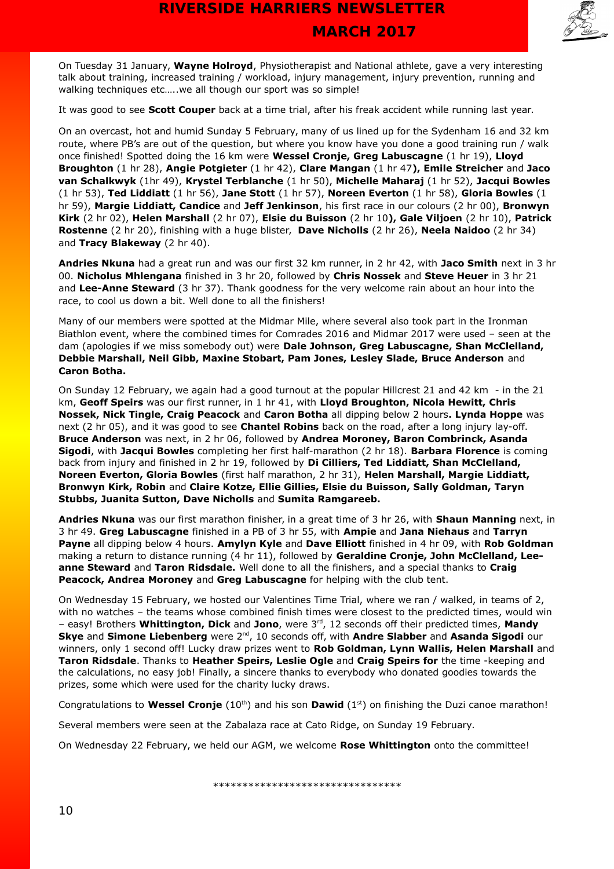

On Tuesday 31 January, **Wayne Holroyd**, Physiotherapist and National athlete, gave a very interesting talk about training, increased training / workload, injury management, injury prevention, running and walking techniques etc...., we all though our sport was so simple!

It was good to see **Scott Couper** back at a time trial, after his freak accident while running last year.

On an overcast, hot and humid Sunday 5 February, many of us lined up for the Sydenham 16 and 32 km route, where PB's are out of the question, but where you know have you done a good training run / walk once finished! Spotted doing the 16 km were **Wessel Cronje, Greg Labuscagne** (1 hr 19), **Lloyd Broughton** (1 hr 28), **Angie Potgieter** (1 hr 42), **Clare Mangan** (1 hr 47**), Emile Streicher** and **Jaco van Schalkwyk** (1hr 49), **Krystel Terblanche** (1 hr 50), **Michelle Maharaj** (1 hr 52), **Jacqui Bowles** (1 hr 53), **Ted Liddiatt** (1 hr 56), **Jane Stott** (1 hr 57), **Noreen Everton** (1 hr 58), **Gloria Bowles** (1 hr 59), **Margie Liddiatt, Candice** and **Jeff Jenkinson**, his first race in our colours (2 hr 00), **Bronwyn Kirk** (2 hr 02), **Helen Marshall** (2 hr 07), **Elsie du Buisson** (2 hr 10**), Gale Viljoen** (2 hr 10), **Patrick Rostenne** (2 hr 20), finishing with a huge blister, **Dave Nicholls** (2 hr 26), **Neela Naidoo** (2 hr 34) and **Tracy Blakeway** (2 hr 40).

**Andries Nkuna** had a great run and was our first 32 km runner, in 2 hr 42, with **Jaco Smith** next in 3 hr 00. **Nicholus Mhlengana** finished in 3 hr 20, followed by **Chris Nossek** and **Steve Heuer** in 3 hr 21 and **Lee-Anne Steward** (3 hr 37). Thank goodness for the very welcome rain about an hour into the race, to cool us down a bit. Well done to all the finishers!

Many of our members were spotted at the Midmar Mile, where several also took part in the Ironman Biathlon event, where the combined times for Comrades 2016 and Midmar 2017 were used – seen at the dam (apologies if we miss somebody out) were **Dale Johnson, Greg Labuscagne, Shan McClelland, Debbie Marshall, Neil Gibb, Maxine Stobart, Pam Jones, Lesley Slade, Bruce Anderson** and **Caron Botha.**

On Sunday 12 February, we again had a good turnout at the popular Hillcrest 21 and 42 km - in the 21 km, **Geoff Speirs** was our first runner, in 1 hr 41, with **Lloyd Broughton, Nicola Hewitt, Chris Nossek, Nick Tingle, Craig Peacock** and **Caron Botha** all dipping below 2 hours**. Lynda Hoppe** was next (2 hr 05), and it was good to see **Chantel Robins** back on the road, after a long injury lay-off. **Bruce Anderson** was next, in 2 hr 06, followed by **Andrea Moroney, Baron Combrinck, Asanda Sigodi**, with **Jacqui Bowles** completing her first half-marathon (2 hr 18). **Barbara Florence** is coming back from injury and finished in 2 hr 19, followed by **Di Cilliers, Ted Liddiatt, Shan McClelland, Noreen Everton, Gloria Bowles** (first half marathon, 2 hr 31), **Helen Marshall, Margie Liddiatt, Bronwyn Kirk, Robin** and **Claire Kotze, Ellie Gillies, Elsie du Buisson, Sally Goldman, Taryn Stubbs, Juanita Sutton, Dave Nicholls** and **Sumita Ramgareeb.**

**Andries Nkuna** was our first marathon finisher, in a great time of 3 hr 26, with **Shaun Manning** next, in 3 hr 49. **Greg Labuscagne** finished in a PB of 3 hr 55, with **Ampie** and **Jana Niehaus** and **Tarryn Payne** all dipping below 4 hours. **Amylyn Kyle** and **Dave Elliott** finished in 4 hr 09, with **Rob Goldman** making a return to distance running (4 hr 11), followed by **Geraldine Cronje, John McClelland, Leeanne Steward** and **Taron Ridsdale.** Well done to all the finishers, and a special thanks to **Craig Peacock, Andrea Moroney** and **Greg Labuscagne** for helping with the club tent.

On Wednesday 15 February, we hosted our Valentines Time Trial, where we ran / walked, in teams of 2, with no watches – the teams whose combined finish times were closest to the predicted times, would win – easy! Brothers **Whittington, Dick** and **Jono**, were 3rd, 12 seconds off their predicted times, **Mandy Skye and Simone Liebenberg** were 2<sup>nd</sup>, 10 seconds off, with **Andre Slabber** and **Asanda Sigodi** our winners, only 1 second off! Lucky draw prizes went to **Rob Goldman, Lynn Wallis, Helen Marshall** and **Taron Ridsdale**. Thanks to **Heather Speirs, Leslie Ogle** and **Craig Speirs for** the time -keeping and the calculations, no easy job! Finally, a sincere thanks to everybody who donated goodies towards the prizes, some which were used for the charity lucky draws.

Congratulations to **Wessel Cronje** (10<sup>th</sup>) and his son **Dawid** (1<sup>st</sup>) on finishing the Duzi canoe marathon!

Several members were seen at the Zabalaza race at Cato Ridge, on Sunday 19 February.

On Wednesday 22 February, we held our AGM, we welcome **Rose Whittington** onto the committee!

\*\*\*\*\*\*\*\*\*\*\*\*\*\*\*\*\*\*\*\*\*\*\*\*\*\*\*\*\*\*\*\*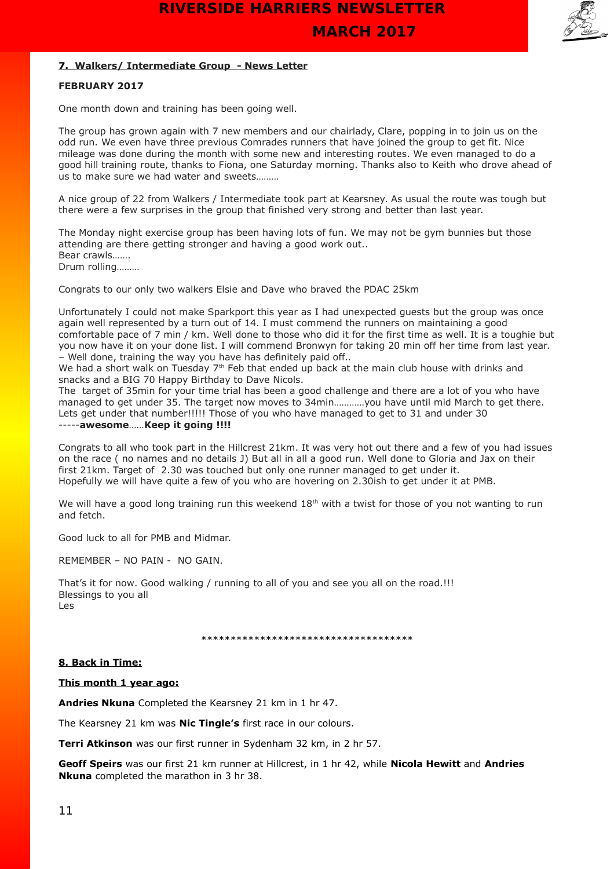

#### **7. Walkers/ Intermediate Group - News Letter**

#### **FEBRUARY 2017**

One month down and training has been going well.

The group has grown again with 7 new members and our chairlady, Clare, popping in to join us on the odd run. We even have three previous Comrades runners that have joined the group to get fit. Nice mileage was done during the month with some new and interesting routes. We even managed to do a good hill training route, thanks to Fiona, one Saturday morning. Thanks also to Keith who drove ahead of us to make sure we had water and sweets………

A nice group of 22 from Walkers / Intermediate took part at Kearsney. As usual the route was tough but there were a few surprises in the group that finished very strong and better than last year.

The Monday night exercise group has been having lots of fun. We may not be gym bunnies but those attending are there getting stronger and having a good work out.. Bear crawls……. Drum rolling………

Congrats to our only two walkers Elsie and Dave who braved the PDAC 25km

Unfortunately I could not make Sparkport this year as I had unexpected guests but the group was once again well represented by a turn out of 14. I must commend the runners on maintaining a good comfortable pace of 7 min / km. Well done to those who did it for the first time as well. It is a toughie but you now have it on your done list. I will commend Bronwyn for taking 20 min off her time from last year. – Well done, training the way you have has definitely paid off..

We had a short walk on Tuesday 7<sup>th</sup> Feb that ended up back at the main club house with drinks and snacks and a BIG 70 Happy Birthday to Dave Nicols.

The target of 35min for your time trial has been a good challenge and there are a lot of you who have managed to get under 35. The target now moves to 34min…………you have until mid March to get there. Lets get under that number!!!!! Those of you who have managed to get to 31 and under 30 -----**awesome**……**Keep it going !!!!**

Congrats to all who took part in the Hillcrest 21km. It was very hot out there and a few of you had issues on the race ( no names and no details J) But all in all a good run. Well done to Gloria and Jax on their first 21km. Target of 2.30 was touched but only one runner managed to get under it. Hopefully we will have quite a few of you who are hovering on 2.30ish to get under it at PMB.

We will have a good long training run this weekend  $18<sup>th</sup>$  with a twist for those of you not wanting to run and fetch.

Good luck to all for PMB and Midmar.

REMEMBER – NO PAIN - NO GAIN.

That's it for now. Good walking / running to all of you and see you all on the road.!!! Blessings to you all Les

\*\*\*\*\*\*\*\*\*\*\*\*\*\*\*\*\*\*\*\*\*\*\*\*\*\*\*\*\*\*\*\*\*\*\*\*

#### **8. Back in Time:**

**This month 1 year ago:**

**Andries Nkuna** Completed the Kearsney 21 km in 1 hr 47.

The Kearsney 21 km was **Nic Tingle's** first race in our colours.

**Terri Atkinson** was our first runner in Sydenham 32 km, in 2 hr 57.

**Geoff Speirs** was our first 21 km runner at Hillcrest, in 1 hr 42, while **Nicola Hewitt** and **Andries Nkuna** completed the marathon in 3 hr 38.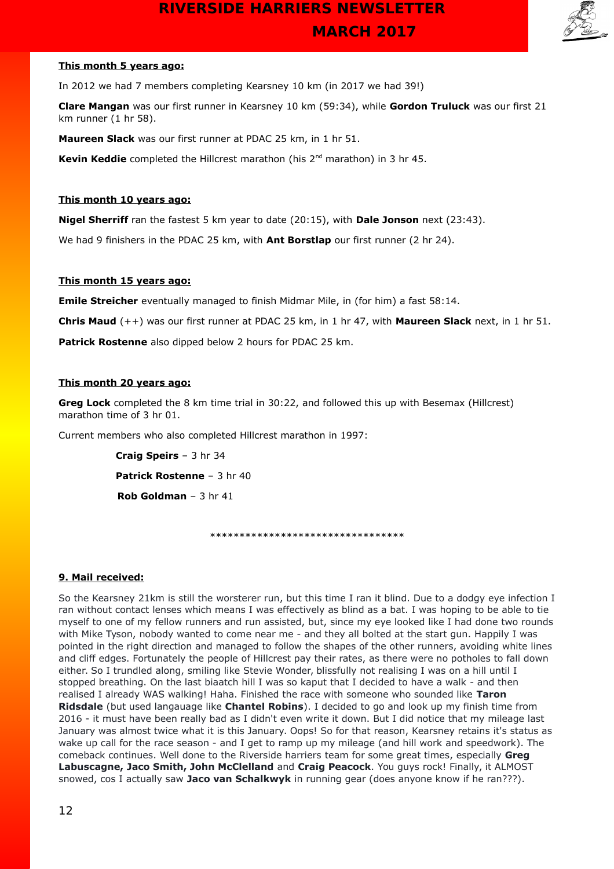

#### **This month 5 years ago:**

In 2012 we had 7 members completing Kearsney 10 km (in 2017 we had 39!)

**Clare Mangan** was our first runner in Kearsney 10 km (59:34), while **Gordon Truluck** was our first 21 km runner (1 hr 58).

**Maureen Slack** was our first runner at PDAC 25 km, in 1 hr 51.

**Kevin Keddie** completed the Hillcrest marathon (his 2<sup>nd</sup> marathon) in 3 hr 45.

#### **This month 10 years ago:**

**Nigel Sherriff** ran the fastest 5 km year to date (20:15), with **Dale Jonson** next (23:43).

We had 9 finishers in the PDAC 25 km, with **Ant Borstlap** our first runner (2 hr 24).

#### **This month 15 years ago:**

**Emile Streicher** eventually managed to finish Midmar Mile, in (for him) a fast 58:14.

**Chris Maud** (++) was our first runner at PDAC 25 km, in 1 hr 47, with **Maureen Slack** next, in 1 hr 51.

**Patrick Rostenne** also dipped below 2 hours for PDAC 25 km.

#### **This month 20 years ago:**

**Greg Lock** completed the 8 km time trial in 30:22, and followed this up with Besemax (Hillcrest) marathon time of 3 hr 01.

Current members who also completed Hillcrest marathon in 1997:

 **Craig Speirs** – 3 hr 34  **Patrick Rostenne** – 3 hr 40 **Rob Goldman** – 3 hr 41

\*\*\*\*\*\*\*\*\*\*\*\*\*\*\*\*\*\*\*\*\*\*\*\*\*\*\*\*\*\*\*\*\*

#### **9. Mail received:**

So the Kearsney 21km is still the worsterer run, but this time I ran it blind. Due to a dodgy eye infection I ran without contact lenses which means I was effectively as blind as a bat. I was hoping to be able to tie myself to one of my fellow runners and run assisted, but, since my eye looked like I had done two rounds with Mike Tyson, nobody wanted to come near me - and they all bolted at the start gun. Happily I was pointed in the right direction and managed to follow the shapes of the other runners, avoiding white lines and cliff edges. Fortunately the people of Hillcrest pay their rates, as there were no potholes to fall down either. So I trundled along, smiling like Stevie Wonder, blissfully not realising I was on a hill until I stopped breathing. On the last biaatch hill I was so kaput that I decided to have a walk - and then realised I already WAS walking! Haha. Finished the race with someone who sounded like **Taron Ridsdale** (but used langauage like **Chantel Robins**). I decided to go and look up my finish time from 2016 - it must have been really bad as I didn't even write it down. But I did notice that my mileage last January was almost twice what it is this January. Oops! So for that reason, Kearsney retains it's status as wake up call for the race season - and I get to ramp up my mileage (and hill work and speedwork). The comeback continues. Well done to the Riverside harriers team for some great times, especially **Greg Labuscagne, Jaco Smith, John McClelland** and **Craig Peacock**. You guys rock! Finally, it ALMOST snowed, cos I actually saw **Jaco van Schalkwyk** in running gear (does anyone know if he ran???).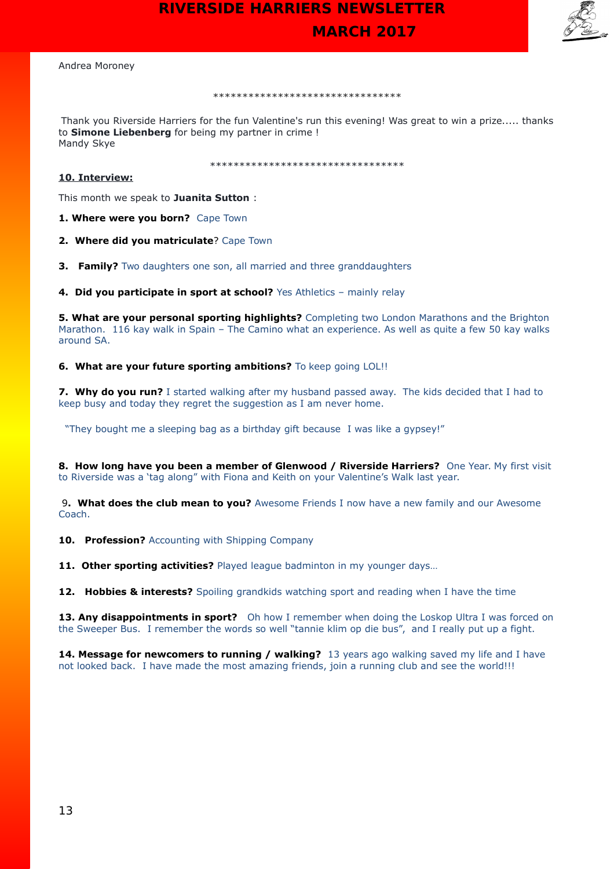

Andrea Moroney

#### \*\*\*\*\*\*\*\*\*\*\*\*\*\*\*\*\*\*\*\*\*\*\*\*\*\*\*\*\*\*\*\*

Thank you Riverside Harriers for the fun Valentine's run this evening! Was great to win a prize..... thanks to **Simone Liebenberg** for being my partner in crime ! Mandy Skye

\*\*\*\*\*\*\*\*\*\*\*\*\*\*\*\*\*\*\*\*\*\*\*\*\*\*\*\*\*\*\*\*\*

#### **10. Interview:**

This month we speak to **Juanita Sutton** :

**1. Where were you born?** Cape Town

**2. Where did you matriculate**? Cape Town

**3. Family?** Two daughters one son, all married and three granddaughters

**4. Did you participate in sport at school?** Yes Athletics – mainly relay

**5. What are your personal sporting highlights?** Completing two London Marathons and the Brighton Marathon. 116 kay walk in Spain – The Camino what an experience. As well as quite a few 50 kay walks around SA.

**6. What are your future sporting ambitions?** To keep going LOL!!

**7. Why do you run?** I started walking after my husband passed away. The kids decided that I had to keep busy and today they regret the suggestion as I am never home.

"They bought me a sleeping bag as a birthday gift because I was like a gypsey!"

**8. How long have you been a member of Glenwood / Riverside Harriers?** One Year. My first visit to Riverside was a 'tag along" with Fiona and Keith on your Valentine's Walk last year.

9**. What does the club mean to you?** Awesome Friends I now have a new family and our Awesome Coach.

**10. Profession?** Accounting with Shipping Company

11. Other sporting activities? Played league badminton in my younger days...

**12. Hobbies & interests?** Spoiling grandkids watching sport and reading when I have the time

13. Any disappointments in sport? Oh how I remember when doing the Loskop Ultra I was forced on the Sweeper Bus. I remember the words so well "tannie klim op die bus", and I really put up a fight.

**14. Message for newcomers to running / walking?** 13 years ago walking saved my life and I have not looked back. I have made the most amazing friends, join a running club and see the world!!!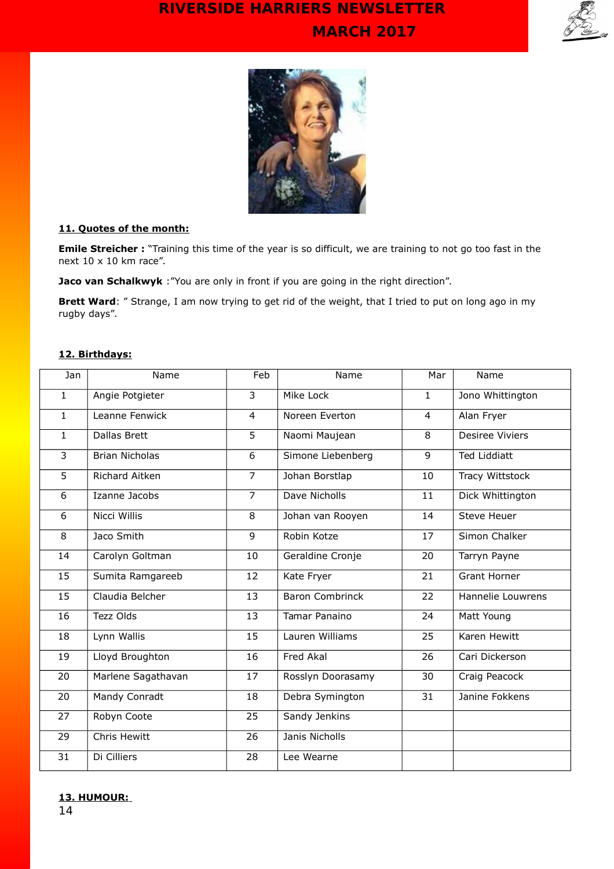



#### **11. Quotes of the month:**

**Emile Streicher :** "Training this time of the year is so difficult, we are training to not go too fast in the next 10 x 10 km race".

**Jaco van Schalkwyk** : "You are only in front if you are going in the right direction".

**Brett Ward**: " Strange, I am now trying to get rid of the weight, that I tried to put on long ago in my rugby days".

#### **12. Birthdays:**

| Jan            | Name                  | Feb             | Name                   | Mar          | Name                   |
|----------------|-----------------------|-----------------|------------------------|--------------|------------------------|
| $\overline{1}$ | Angie Potgieter       | $\overline{3}$  | Mike Lock              | $\mathbf{1}$ | Jono Whittington       |
| $\mathbf{1}$   | Leanne Fenwick        | $\overline{4}$  | Noreen Everton         | 4            | Alan Fryer             |
| $\mathbf{1}$   | <b>Dallas Brett</b>   | 5               | Naomi Maujean          | 8            | <b>Desiree Viviers</b> |
| 3              | <b>Brian Nicholas</b> | 6               | Simone Liebenberg      | 9            | <b>Ted Liddiatt</b>    |
| 5              | <b>Richard Aitken</b> | $\overline{7}$  | Johan Borstlap         | 10           | Tracy Wittstock        |
| 6              | Izanne Jacobs         | $\overline{7}$  | Dave Nicholls          | 11           | Dick Whittington       |
| 6              | <b>Nicci Willis</b>   | $\overline{8}$  | Johan van Rooyen       | 14           | <b>Steve Heuer</b>     |
| 8              | Jaco Smith            | $\overline{9}$  | Robin Kotze            | 17           | Simon Chalker          |
| 14             | Carolyn Goltman       | 10              | Geraldine Cronje       | 20           | Tarryn Payne           |
| 15             | Sumita Ramgareeb      | 12              | Kate Fryer             | 21           | <b>Grant Horner</b>    |
| 15             | Claudia Belcher       | 13              | <b>Baron Combrinck</b> | 22           | Hannelie Louwrens      |
| 16             | Tezz Olds             | 13              | Tamar Panaino          | 24           | Matt Young             |
| 18             | Lynn Wallis           | 15              | Lauren Williams        | 25           | Karen Hewitt           |
| 19             | Lloyd Broughton       | 16              | Fred Akal              | 26           | Cari Dickerson         |
| 20             | Marlene Sagathavan    | 17              | Rosslyn Doorasamy      | 30           | Craig Peacock          |
| 20             | Mandy Conradt         | 18              | Debra Symington        | 31           | Janine Fokkens         |
| 27             | Robyn Coote           | $\overline{25}$ | Sandy Jenkins          |              |                        |
| 29             | Chris Hewitt          | 26              | Janis Nicholls         |              |                        |
| 31             | Di Cilliers           | 28              | Lee Wearne             |              |                        |

### **13. HUMOUR:**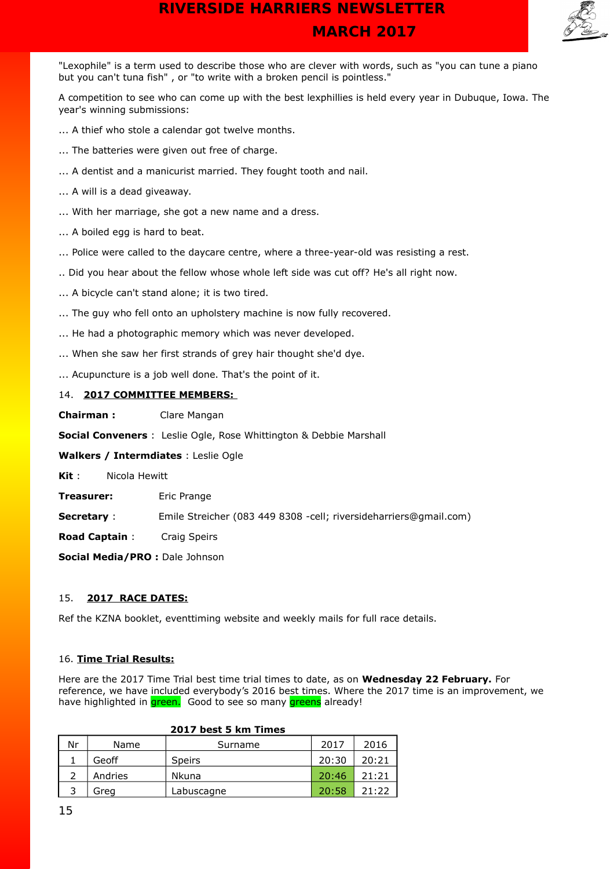

"Lexophile" is a term used to describe those who are clever with words, such as "you can tune a piano but you can't tuna fish" , or "to write with a broken pencil is pointless."

A competition to see who can come up with the best lexphillies is held every year in Dubuque, Iowa. The year's winning submissions:

- ... A thief who stole a calendar got twelve months.
- ... The batteries were given out free of charge.
- ... A dentist and a manicurist married. They fought tooth and nail.
- ... A will is a dead giveaway.
- ... With her marriage, she got a new name and a dress.
- ... A boiled egg is hard to beat.
- ... Police were called to the daycare centre, where a three-year-old was resisting a rest.
- .. Did you hear about the fellow whose whole left side was cut off? He's all right now.
- ... A bicycle can't stand alone; it is two tired.
- ... The guy who fell onto an upholstery machine is now fully recovered.
- ... He had a photographic memory which was never developed.
- ... When she saw her first strands of grey hair thought she'd dye.
- ... Acupuncture is a job well done. That's the point of it.

#### 14. **2017 COMMITTEE MEMBERS:**

**Chairman :** Clare Mangan

**Social Conveners** : Leslie Ogle, Rose Whittington & Debbie Marshall

**Walkers / Intermdiates** : Leslie Ogle

**Kit** : Nicola Hewitt

**Treasurer:** Eric Prange

**Secretary** : Emile Streicher (083 449 8308 -cell; riversideharriers@gmail.com)

**Road Captain** : Craig Speirs

**Social Media/PRO :** Dale Johnson

#### 15. **2017 RACE DATES:**

Ref the KZNA booklet, eventtiming website and weekly mails for full race details.

#### 16. **Time Trial Results:**

Here are the 2017 Time Trial best time trial times to date, as on **Wednesday 22 February.** For reference, we have included everybody's 2016 best times. Where the 2017 time is an improvement, we have highlighted in green. Good to see so many greens already!

| Nr | Name    | Surname       | 2017  | 2016  |
|----|---------|---------------|-------|-------|
|    | Geoff   | <b>Speirs</b> | 20:30 | 20:21 |
|    | Andries | <b>Nkuna</b>  | 20:46 | 21:21 |
|    | Greg    | Labuscagne    | 20:58 | 21:22 |

#### **2017 best 5 km Times**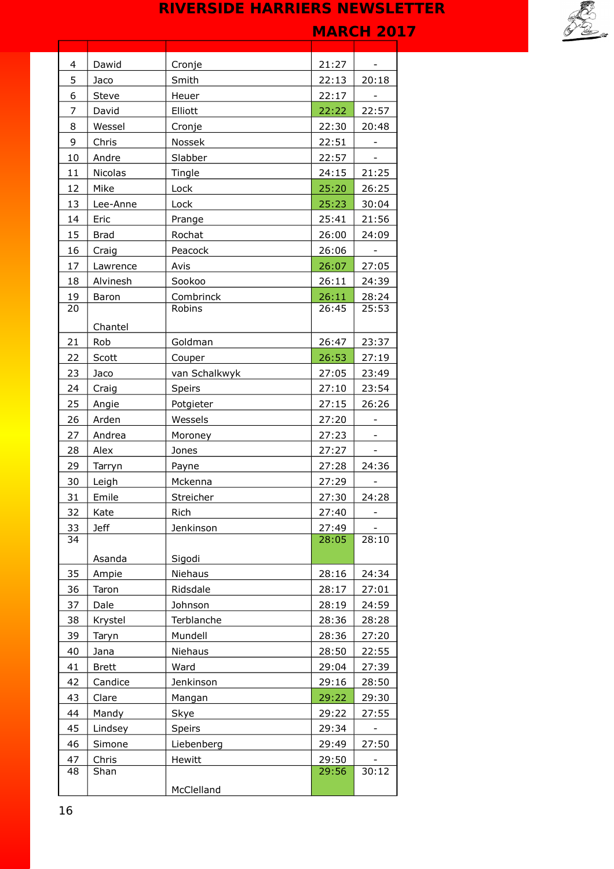

| 4              | Dawid          | Cronje        | 21:27 |                          |
|----------------|----------------|---------------|-------|--------------------------|
| 5              | Jaco           | Smith         | 22:13 | 20:18                    |
| 6              | <b>Steve</b>   | Heuer         | 22:17 |                          |
| $\overline{7}$ | David          | Elliott       | 22:22 | 22:57                    |
| 8              | Wessel         | Cronje        | 22:30 | 20:48                    |
| 9              | Chris          | Nossek        | 22:51 |                          |
| 10             | Andre          | Slabber       | 22:57 |                          |
| 11             | <b>Nicolas</b> | Tingle        | 24:15 | 21:25                    |
| 12             | Mike           | Lock          | 25:20 | 26:25                    |
| 13             | Lee-Anne       | Lock          | 25:23 | 30:04                    |
| 14             | Eric           | Prange        | 25:41 | 21:56                    |
| 15             | <b>Brad</b>    | Rochat        | 26:00 | 24:09                    |
| 16             | Craig          | Peacock       | 26:06 |                          |
| 17             | Lawrence       | Avis          | 26:07 | 27:05                    |
| 18             | Alvinesh       | Sookoo        | 26:11 | 24:39                    |
| 19             | Baron          | Combrinck     | 26:11 | 28:24                    |
| 20             |                | Robins        | 26:45 | 25:53                    |
|                | Chantel        |               |       |                          |
| 21             | Rob            | Goldman       | 26:47 | 23:37                    |
| 22             | Scott          | Couper        | 26:53 | 27:19                    |
| 23             | Jaco           | van Schalkwyk | 27:05 | 23:49                    |
| 24             | Craig          | Speirs        | 27:10 | 23:54                    |
| 25             | Angie          | Potgieter     | 27:15 | 26:26                    |
| 26             | Arden          | Wessels       | 27:20 | -                        |
| 27             | Andrea         | Moroney       | 27:23 |                          |
| 28             | Alex           | Jones         | 27:27 | $\overline{\phantom{a}}$ |
| 29             | Tarryn         | Payne         | 27:28 | 24:36                    |
| 30             | Leigh          | Mckenna       | 27:29 |                          |
| 31             | Emile          | Streicher     | 27:30 | 24:28                    |
| 32             | Kate           | Rich          | 27:40 | -                        |
| 33             | <b>Jeff</b>    | Jenkinson     | 27:49 |                          |
| 34             |                |               | 28:05 | 28:10                    |
|                | Asanda         | Sigodi        |       |                          |
| 35             | Ampie          | Niehaus       | 28:16 | 24:34                    |
| 36             | Taron          | Ridsdale      | 28:17 | 27:01                    |
| 37             | Dale           | Johnson       | 28:19 | 24:59                    |
| 38             | Krystel        | Terblanche    | 28:36 | 28:28                    |
| 39             | Taryn          | Mundell       | 28:36 | 27:20                    |
| 40             | Jana           | Niehaus       | 28:50 | 22:55                    |
| 41             | <b>Brett</b>   | Ward          | 29:04 | 27:39                    |
| 42             | Candice        | Jenkinson     | 29:16 | 28:50                    |
| 43             | Clare          | Mangan        | 29:22 | 29:30                    |
| 44             | Mandy          | Skye          | 29:22 | 27:55                    |
| 45             | Lindsey        | Speirs        | 29:34 |                          |
| 46             | Simone         | Liebenberg    | 29:49 | 27:50                    |
| 47             | Chris          | Hewitt        | 29:50 |                          |
| 48             | Shan           |               | 29:56 | 30:12                    |
|                |                | McClelland    |       |                          |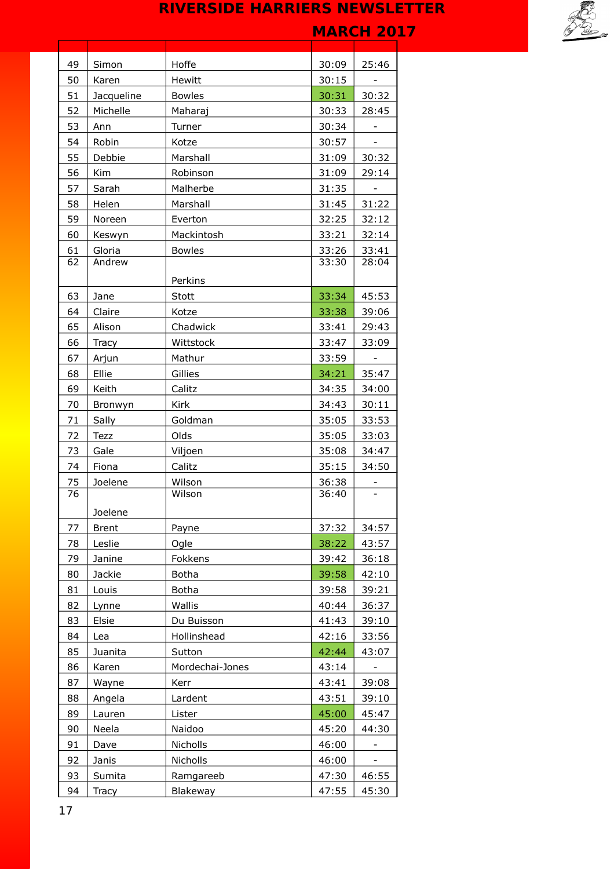| 49 | Simon        | Hoffe           | 30:09 | 25:46                    |
|----|--------------|-----------------|-------|--------------------------|
| 50 | Karen        | Hewitt          | 30:15 |                          |
| 51 | Jacqueline   | <b>Bowles</b>   | 30:31 | 30:32                    |
| 52 | Michelle     | Maharaj         | 30:33 | 28:45                    |
| 53 | Ann          | Turner          | 30:34 |                          |
| 54 | Robin        | Kotze           | 30:57 |                          |
| 55 | Debbie       | Marshall        | 31:09 | 30:32                    |
| 56 | Kim          | Robinson        | 31:09 | 29:14                    |
| 57 | Sarah        | Malherbe        | 31:35 |                          |
| 58 | Helen        | Marshall        | 31:45 | 31:22                    |
| 59 | Noreen       | Everton         | 32:25 | 32:12                    |
| 60 | Keswyn       | Mackintosh      | 33:21 | 32:14                    |
| 61 | Gloria       | <b>Bowles</b>   | 33:26 | 33:41                    |
| 62 | Andrew       |                 | 33:30 | 28:04                    |
|    |              | Perkins         |       |                          |
| 63 | Jane         | Stott           | 33:34 | 45:53                    |
| 64 | Claire       | Kotze           | 33:38 | 39:06                    |
| 65 | Alison       | Chadwick        | 33:41 | 29:43                    |
| 66 | Tracy        | Wittstock       | 33:47 | 33:09                    |
| 67 | Arjun        | Mathur          | 33:59 |                          |
| 68 | Ellie        | Gillies         | 34:21 | 35:47                    |
| 69 | Keith        | Calitz          | 34:35 | 34:00                    |
| 70 | Bronwyn      | Kirk            | 34:43 | 30:11                    |
| 71 | Sally        | Goldman         | 35:05 | 33:53                    |
| 72 | <b>Tezz</b>  | Olds            | 35:05 | 33:03                    |
| 73 | Gale         | Viljoen         | 35:08 | 34:47                    |
| 74 | Fiona        | Calitz          | 35:15 | 34:50                    |
| 75 | Joelene      | Wilson          | 36:38 |                          |
| 76 |              | Wilson          | 36:40 | $\overline{\phantom{a}}$ |
|    | Joelene      |                 |       |                          |
| 77 | <b>Brent</b> | Payne           | 37:32 | 34:57                    |
| 78 | Leslie       | Ogle            | 38:22 | 43:57                    |
| 79 | Janine       | Fokkens         | 39:42 | 36:18                    |
| 80 | Jackie       | <b>Botha</b>    | 39:58 | 42:10                    |
| 81 | Louis        | <b>Botha</b>    | 39:58 | 39:21                    |
| 82 | Lynne        | Wallis          | 40:44 | 36:37                    |
| 83 | Elsie        | Du Buisson      | 41:43 | 39:10                    |
| 84 | Lea          | Hollinshead     | 42:16 | 33:56                    |
| 85 | Juanita      | Sutton          | 42:44 | 43:07                    |
| 86 | Karen        | Mordechai-Jones | 43:14 |                          |
| 87 | Wayne        | Kerr            | 43:41 | 39:08                    |
| 88 | Angela       | Lardent         | 43:51 | 39:10                    |
| 89 | Lauren       | Lister          | 45:00 | 45:47                    |
| 90 | Neela        | Naidoo          | 45:20 | 44:30                    |
| 91 | Dave         | Nicholls        | 46:00 |                          |
| 92 | Janis        | Nicholls        | 46:00 |                          |
| 93 | Sumita       | Ramgareeb       | 47:30 | 46:55                    |
| 94 | Tracy        | Blakeway        | 47:55 | 45:30                    |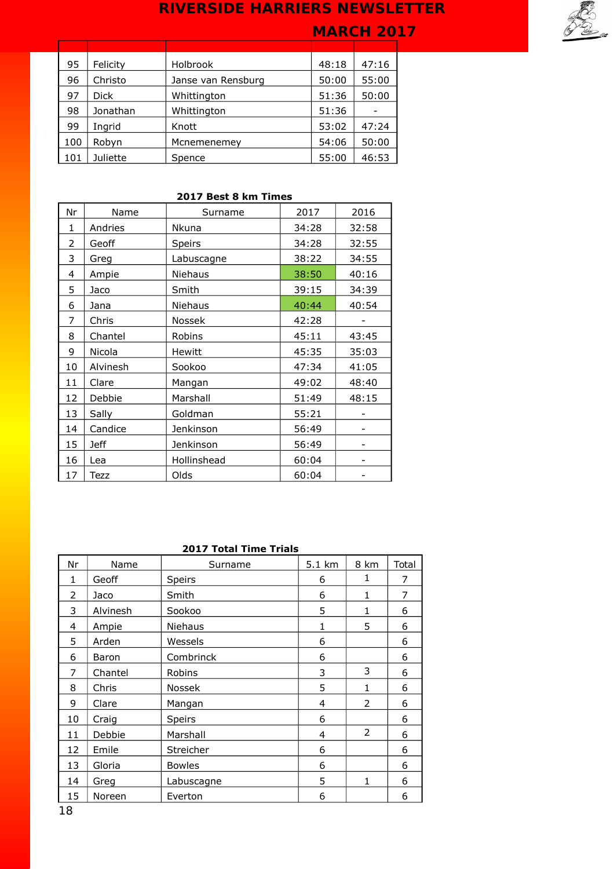# **MARCH 2017**



| 95  | Felicity    | Holbrook           | 48:18 | 47:16 |
|-----|-------------|--------------------|-------|-------|
| 96  | Christo     | Janse van Rensburg | 50:00 | 55:00 |
| 97  | <b>Dick</b> | Whittington        | 51:36 | 50:00 |
| 98  | Jonathan    | Whittington        | 51:36 |       |
| 99  | Ingrid      | Knott              | 53:02 | 47:24 |
| 100 | Robyn       | Mcnemenemey        | 54:06 | 50:00 |
| 101 | Juliette    | Spence             | 55:00 | 46:53 |

### **2017 Best 8 km Times**

| Nr | Name        | Surname       | 2017  | 2016  |
|----|-------------|---------------|-------|-------|
| 1  | Andries     | Nkuna         | 34:28 | 32:58 |
| 2  | Geoff       | Speirs        | 34:28 | 32:55 |
| 3  | Greg        | Labuscagne    | 38:22 | 34:55 |
| 4  | Ampie       | Niehaus       | 38:50 | 40:16 |
| 5  | Jaco        | Smith         | 39:15 | 34:39 |
| 6  | Jana        | Niehaus       | 40:44 | 40:54 |
| 7  | Chris       | Nossek        | 42:28 |       |
| 8  | Chantel     | Robins        | 45:11 | 43:45 |
| 9  | Nicola      | <b>Hewitt</b> | 45:35 | 35:03 |
| 10 | Alvinesh    | Sookoo        | 47:34 | 41:05 |
| 11 | Clare       | Mangan        | 49:02 | 48:40 |
| 12 | Debbie      | Marshall      | 51:49 | 48:15 |
| 13 | Sally       | Goldman       | 55:21 |       |
| 14 | Candice     | Jenkinson     | 56:49 |       |
| 15 | <b>Jeff</b> | Jenkinson     | 56:49 |       |
| 16 | Lea         | Hollinshead   | 60:04 |       |
| 17 | Tezz        | Olds          | 60:04 |       |

### **2017 Total Time Trials**

| Nr | Name     | Surname       | 5.1 km | 8 km | Total |
|----|----------|---------------|--------|------|-------|
| 1  | Geoff    | Speirs        | 6      | 1    | 7     |
| 2  | Jaco     | Smith         | 6      | 1    | 7     |
| 3  | Alvinesh | Sookoo        | 5      | 1    | 6     |
| 4  | Ampie    | Niehaus       | 1      | 5    | 6     |
| 5  | Arden    | Wessels       | 6      |      | 6     |
| 6  | Baron    | Combrinck     | 6      |      | 6     |
| 7  | Chantel  | Robins        | 3      | 3    | 6     |
| 8  | Chris    | <b>Nossek</b> | 5      | 1    | 6     |
| 9  | Clare    | Mangan        | 4      | 2    | 6     |
| 10 | Craig    | Speirs        | 6      |      | 6     |
| 11 | Debbie   | Marshall      | 4      | 2    | 6     |
| 12 | Emile    | Streicher     | 6      |      | 6     |
| 13 | Gloria   | <b>Bowles</b> | 6      |      | 6     |
| 14 | Greg     | Labuscagne    | 5      | 1    | 6     |
| 15 | Noreen   | Everton       | 6      |      | 6     |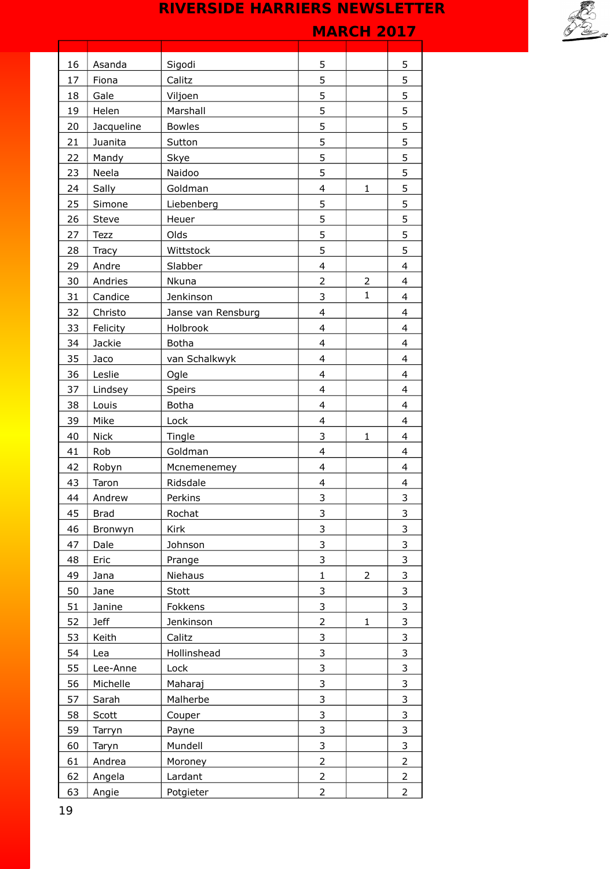|    |             |                    |                         | .              |                         |
|----|-------------|--------------------|-------------------------|----------------|-------------------------|
| 16 | Asanda      | Sigodi             | 5                       |                | 5                       |
| 17 | Fiona       | Calitz             | 5                       |                | 5                       |
| 18 | Gale        | Viljoen            | 5                       |                | 5                       |
| 19 | Helen       | Marshall           | 5                       |                | 5                       |
| 20 | Jacqueline  | <b>Bowles</b>      | 5                       |                | 5                       |
| 21 | Juanita     | Sutton             | 5                       |                | 5                       |
| 22 | Mandy       | Skye               | 5                       |                | 5                       |
| 23 | Neela       | Naidoo             | 5                       |                | 5                       |
| 24 | Sally       | Goldman            | 4                       | $\mathbf{1}$   | 5                       |
| 25 | Simone      | Liebenberg         | 5                       |                | 5                       |
| 26 | Steve       | Heuer              | 5                       |                | 5                       |
| 27 | Tezz        | Olds               | 5                       |                | 5                       |
| 28 | Tracy       | Wittstock          | 5                       |                | 5                       |
| 29 | Andre       | Slabber            | $\overline{\mathbf{4}}$ |                | $\overline{\mathbf{4}}$ |
| 30 | Andries     | Nkuna              | $\overline{2}$          | $\overline{2}$ | $\overline{\mathbf{4}}$ |
| 31 | Candice     | Jenkinson          | 3                       | $\mathbf{1}$   | $\overline{\mathbf{4}}$ |
| 32 | Christo     | Janse van Rensburg | 4                       |                | $\overline{\mathbf{4}}$ |
| 33 | Felicity    | Holbrook           | $\overline{\mathbf{4}}$ |                | $\overline{\mathbf{4}}$ |
| 34 | Jackie      | <b>Botha</b>       | 4                       |                | $\overline{\mathbf{4}}$ |
| 35 | Jaco        | van Schalkwyk      | $\overline{4}$          |                | $\overline{\mathbf{4}}$ |
| 36 | Leslie      | Ogle               | 4                       |                | $\overline{\mathbf{4}}$ |
| 37 | Lindsey     | Speirs             | $\overline{\mathbf{4}}$ |                | $\overline{\mathbf{4}}$ |
| 38 | Louis       | <b>Botha</b>       | 4                       |                | $\overline{\mathbf{4}}$ |
| 39 | Mike        | Lock               | $\overline{\mathbf{4}}$ |                | $\overline{\mathbf{4}}$ |
| 40 | <b>Nick</b> | Tingle             | 3                       | $\mathbf{1}$   | 4                       |
| 41 | Rob         | Goldman            | $\overline{4}$          |                | 4                       |
| 42 | Robyn       | Mcnemenemey        | 4                       |                | $\overline{\mathbf{4}}$ |
| 43 | Taron       | Ridsdale           | 4                       |                | $\overline{\mathbf{4}}$ |
| 44 | Andrew      | Perkins            | $\overline{\mathbf{3}}$ |                | $\overline{\mathbf{3}}$ |
| 45 | <b>Brad</b> | Rochat             | 3                       |                | 3                       |
| 46 | Bronwyn     | Kirk               | 3                       |                | 3                       |
| 47 | Dale        | Johnson            | 3                       |                | 3                       |
| 48 | Eric        | Prange             | 3                       |                | 3                       |
| 49 | Jana        | Niehaus            | $\mathbf{1}$            | 2              | 3                       |
| 50 | Jane        | Stott              | 3                       |                | 3                       |
| 51 | Janine      | Fokkens            | 3                       |                | 3                       |
| 52 | <b>Jeff</b> | Jenkinson          | $\overline{c}$          | 1              | 3                       |
| 53 | Keith       | Calitz             | 3                       |                | 3                       |
| 54 | Lea         | Hollinshead        | 3                       |                | 3                       |
| 55 | Lee-Anne    | Lock               | 3                       |                | 3                       |
| 56 | Michelle    | Maharaj            | 3                       |                | 3                       |
| 57 | Sarah       | Malherbe           | 3                       |                | 3                       |
| 58 | Scott       | Couper             | 3                       |                | 3                       |
| 59 | Tarryn      | Payne              | 3                       |                | 3                       |
| 60 | Taryn       | Mundell            | 3                       |                | 3                       |
| 61 | Andrea      | Moroney            | $\overline{2}$          |                | $\overline{2}$          |
| 62 | Angela      | Lardant            | $\overline{2}$          |                | 2                       |
| 63 | Angie       | Potgieter          | $\overline{2}$          |                | $\overline{2}$          |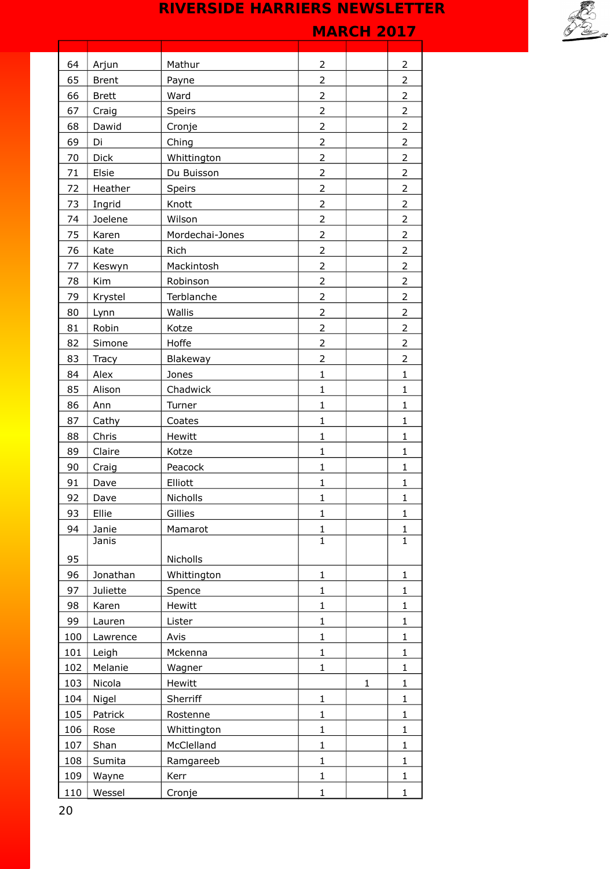|     |               |                 |                | I'IANUII 4V17 |                   |
|-----|---------------|-----------------|----------------|---------------|-------------------|
| 64  | Arjun         | Mathur          | 2              |               | $\overline{2}$    |
| 65  | <b>Brent</b>  | Payne           | $\overline{2}$ |               | $\overline{2}$    |
| 66  | <b>Brett</b>  | Ward            | 2              |               | $\overline{2}$    |
| 67  | Craig         | Speirs          | $\overline{2}$ |               | $\overline{2}$    |
| 68  | Dawid         | Cronje          | $\overline{c}$ |               | $\overline{2}$    |
| 69  | Di            | Ching           | $\overline{2}$ |               | $\overline{2}$    |
| 70  | Dick          | Whittington     | 2              |               | $\overline{2}$    |
| 71  | Elsie         | Du Buisson      | $\overline{2}$ |               | $\overline{2}$    |
| 72  | Heather       | Speirs          | $\overline{2}$ |               | $\overline{2}$    |
| 73  | Ingrid        | Knott           | $\overline{2}$ |               | $\overline{2}$    |
| 74  | Joelene       | Wilson          | 2              |               | $\overline{2}$    |
| 75  | Karen         | Mordechai-Jones | $\overline{2}$ |               | $\overline{2}$    |
| 76  | Kate          | Rich            | $\overline{2}$ |               | $\overline{2}$    |
| 77  | Keswyn        | Mackintosh      | $\overline{2}$ |               | $\overline{2}$    |
| 78  | Kim           | Robinson        | 2              |               | $\overline{2}$    |
| 79  | Krystel       | Terblanche      | $\overline{2}$ |               | $\overline{2}$    |
| 80  | Lynn          | Wallis          | $\overline{2}$ |               | $\overline{2}$    |
| 81  | Robin         | Kotze           | $\overline{2}$ |               | $\overline{2}$    |
| 82  | Simone        | Hoffe           | 2              |               | $\overline{2}$    |
| 83  | Tracy         | Blakeway        | $\overline{2}$ |               | $\overline{2}$    |
| 84  | Alex          | Jones           | $\mathbf 1$    |               | $\mathbf{1}$      |
| 85  | Alison        | Chadwick        | $\mathbf 1$    |               | $\mathbf{1}$      |
| 86  | Ann           | Turner          | $\mathbf 1$    |               | $\mathbf{1}$      |
| 87  | Cathy         | Coates          | $\mathbf 1$    |               | $\mathbf 1$       |
| 88  | Chris         | Hewitt          | $\mathbf{1}$   |               | $\mathbf{1}$      |
| 89  | Claire        | Kotze           | $\mathbf 1$    |               | $\mathbf 1$       |
| 90  | Craig         | Peacock         | $\mathbf 1$    |               | $\mathbf{1}$      |
| 91  | Dave          | Elliott         | $\mathbf{1}$   |               | $\mathbf{1}$      |
| 92  |               | Nicholls        | 1              |               |                   |
| 93  | Dave<br>Ellie | Gillies         | $\mathbf{1}$   |               | ı<br>$\mathbf{1}$ |
| 94  | Janie         | Mamarot         | $\mathbf{1}$   |               | $\mathbf{1}$      |
|     | Janis         |                 | $\overline{1}$ |               | $\overline{1}$    |
| 95  |               | Nicholls        |                |               |                   |
| 96  | Jonathan      | Whittington     | $\mathbf 1$    |               | $\mathbf{1}$      |
| 97  | Juliette      | Spence          | $\mathbf 1$    |               | $\mathbf{1}$      |
| 98  | Karen         | Hewitt          | $\mathbf 1$    |               | $\mathbf{1}$      |
| 99  | Lauren        | Lister          | $\mathbf 1$    |               | $\mathbf{1}$      |
| 100 | Lawrence      | Avis            | $\mathbf{1}$   |               | $\mathbf{1}$      |
| 101 | Leigh         | Mckenna         | $\mathbf 1$    |               | $\mathbf{1}$      |
| 102 | Melanie       | Wagner          | $\mathbf{1}$   |               | $\mathbf{1}$      |
| 103 | Nicola        | Hewitt          |                | $\mathbf{1}$  | $\mathbf{1}$      |
| 104 | Nigel         | Sherriff        | $\mathbf{1}$   |               | $\mathbf{1}$      |
| 105 | Patrick       | Rostenne        | $\mathbf 1$    |               | $\mathbf{1}$      |
| 106 | Rose          | Whittington     | $\mathbf 1$    |               | $\mathbf{1}$      |
| 107 | Shan          | McClelland      | $\mathbf 1$    |               | $\mathbf{1}$      |
| 108 | Sumita        | Ramgareeb       | $\mathbf 1$    |               | $\mathbf{1}$      |
| 109 | Wayne         | Kerr            | 1              |               | $\mathbf{1}$      |
| 110 | Wessel        | Cronje          | 1              |               | $\mathbf{1}$      |
|     |               |                 |                |               |                   |